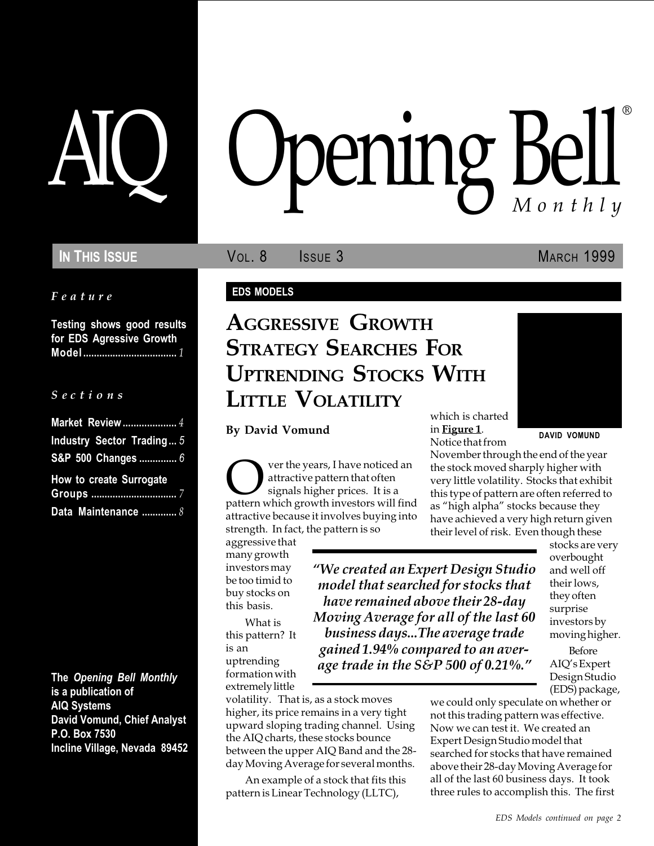## IN THIS ISSUE **VOL. 8** ISSUE 3 MARCH 1999

#### Feature

Testing shows good results for EDS Agressive Growth Model ................................... 1

#### S e c t i o n s

| Market Review 4                |  |
|--------------------------------|--|
| Industry Sector Trading 5      |  |
| S&P 500 Changes  6             |  |
| <b>How to create Surrogate</b> |  |
|                                |  |
| Data Maintenance  8            |  |

The Opening Bell Monthly is a publication of AIQ Systems David Vomund, Chief Analyst P.O. Box 7530 Incline Village, Nevada 89452

# pening Bell ®

#### EDS MODELS

## AGGRESSIVE GROWTH STRATEGY SEARCHES FOR UPTRENDING STOCKS WITH LITTLE VOLATILITY

#### By David Vomund in Figure 1. DAVID VOMUND

**OVERT SET SALARED SURVER SET A** startive pattern that often signals higher prices. It is a pattern which growth investors will find attractive pattern that often signals higher prices. It is a attractive because it involves buying into strength. In fact, the pattern is so

aggressive that many growth investors may be too timid to buy stocks on this basis.

What is this pattern? It is an uptrending formation with extremely little

volatility. That is, as a stock moves higher, its price remains in a very tight upward sloping trading channel. Using the AIQ charts, these stocks bounce between the upper AIQ Band and the 28 day Moving Average for several months.

An example of a stock that fits this pattern is Linear Technology (LLTC),

which is charted in Figure 1.

We created an Expert Design Studio model that searched for stocks that have remained above their 28-day Moving Average for all of the last 60 business days...The average trade gained 1.94% compared to an average trade in the S&P 500 of 0.21%.

Notice that from November through the end of the year the stock moved sharply higher with very little volatility. Stocks that exhibit this type of pattern are often referred to as "high alpha" stocks because they have achieved a very high return given their level of risk. Even though these

> stocks are very overbought and well off their lows, they often surprise investors by moving higher.

Before AIQ's Expert Design Studio (EDS) package,

we could only speculate on whether or not this trading pattern was effective. Now we can test it. We created an Expert Design Studio model that searched for stocks that have remained above their 28-day Moving Average for all of the last 60 business days. It took three rules to accomplish this. The first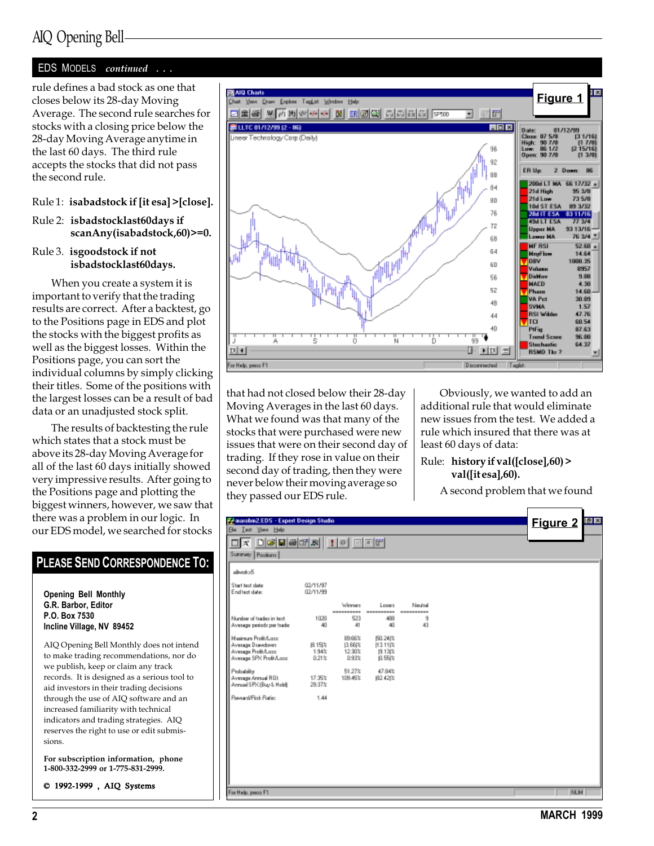## AIQ Opening Bell

#### EDS MODELS continued ...

rule defines a bad stock as one that closes below its 28-day Moving Average. The second rule searches for stocks with a closing price below the 28-day Moving Average anytime in the last 60 days. The third rule accepts the stocks that did not pass the second rule.

#### Rule 1: isabadstock if [it esa] >[close].

#### Rule 2: isbadstocklast60days if scanAny(isabadstock,60)>=0.

#### Rule 3. isgoodstock if not isbadstocklast60days.

When you create a system it is important to verify that the trading results are correct. After a backtest, go to the Positions page in EDS and plot the stocks with the biggest profits as well as the biggest losses. Within the Positions page, you can sort the individual columns by simply clicking their titles. Some of the positions with the largest losses can be a result of bad data or an unadjusted stock split.

The results of backtesting the rule which states that a stock must be above its 28-day Moving Average for all of the last 60 days initially showed very impressive results. After going to the Positions page and plotting the biggest winners, however, we saw that there was a problem in our logic. In our EDS model, we searched for stocks

## PLEASE SEND CORRESPONDENCE TO:

Opening Bell Monthly G.R. Barbor, Editor P.O. Box 7530 Incline Village, NV 89452

AIQ Opening Bell Monthly does not intend to make trading recommendations, nor do we publish, keep or claim any track records. It is designed as a serious tool to aid investors in their trading decisions through the use of AIQ software and an increased familiarity with technical indicators and trading strategies. AIQ reserves the right to use or edit submissions.

For subscription information, phone 1-800-332-2999 or 1-775-831-2999.

© 1992-1999 , AIQ Systems



that had not closed below their 28-day Moving Averages in the last 60 days. What we found was that many of the stocks that were purchased were new issues that were on their second day of trading. If they rose in value on their second day of trading, then they were never below their moving average so they passed our EDS rule.

Obviously, we wanted to add an additional rule that would eliminate new issues from the test. We added a rule which insured that there was at least 60 days of data:

#### Rule: history if val([close],60) > val([it esa],60).

A second problem that we found

| Fe marobin2.EDS - Expert Design Studio                                                    |                         |                                      |                                         |                       |  | <b>Figure 2 23</b> |  |
|-------------------------------------------------------------------------------------------|-------------------------|--------------------------------------|-----------------------------------------|-----------------------|--|--------------------|--|
| Ele Lest Your Help                                                                        |                         |                                      |                                         |                       |  |                    |  |
| <u>da debeca : 10 dec</u>                                                                 |                         |                                      |                                         |                       |  |                    |  |
| Summery Pasitions                                                                         |                         |                                      |                                         |                       |  |                    |  |
| alloyed a 5                                                                               |                         |                                      |                                         |                       |  |                    |  |
| Start text date:<br>End test date:                                                        | 02/11/97<br>02/11/99    |                                      |                                         |                       |  |                    |  |
|                                                                                           |                         | Winner<br>----------                 | Lopers<br>----------                    | Neutral<br>---------- |  |                    |  |
| Number of tradex in text.<br>Average periods per trade:                                   | 1020<br>40              | 523<br>41                            | 499<br>40                               | 9<br>43               |  |                    |  |
| Maginum Profit/Long<br>Average Drawdown<br>Avesage Profit/Lass<br>Average SPX Proft/Lass: | 图 15次<br>1.94%<br>0.212 | 89.66%<br>13.661%<br>12:30%<br>0.93% | (50.24)%<br>113.11 2<br>图 13次<br>0.55(% |                       |  |                    |  |
| Probability:<br>Average Annual ROL<br>Annual SPK (Buy & Hold):                            | 17.35%<br>29.37%        | 51.27%<br>109.45%                    | 47.84%<br>824202                        |                       |  |                    |  |
| Reward/Pisk Ratio:                                                                        | 1.44                    |                                      |                                         |                       |  |                    |  |
|                                                                                           |                         |                                      |                                         |                       |  |                    |  |
|                                                                                           |                         |                                      |                                         |                       |  |                    |  |
|                                                                                           |                         |                                      |                                         |                       |  |                    |  |
|                                                                                           |                         |                                      |                                         |                       |  |                    |  |
|                                                                                           |                         |                                      |                                         |                       |  |                    |  |
| For Help, peace F1                                                                        |                         |                                      |                                         |                       |  | <b>NUM</b>         |  |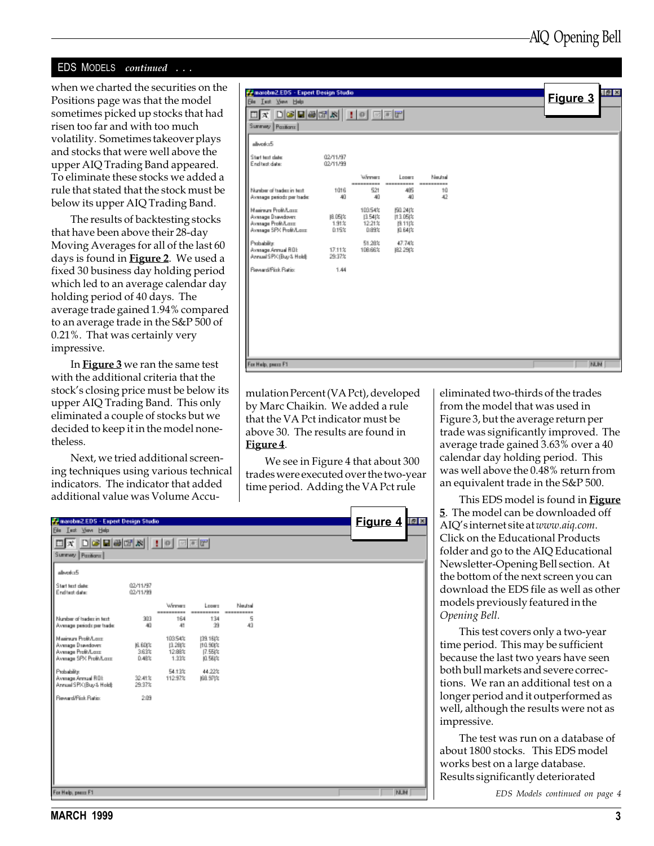#### EDS MODELS continued ...

when we charted the securities on the Positions page was that the model sometimes picked up stocks that had risen too far and with too much volatility. Sometimes takeover plays and stocks that were well above the upper AIQ Trading Band appeared. To eliminate these stocks we added a rule that stated that the stock must be below its upper AIQ Trading Band.

The results of backtesting stocks that have been above their 28-day Moving Averages for all of the last 60 days is found in **Figure 2**. We used a fixed 30 business day holding period which led to an average calendar day holding period of 40 days. The average trade gained 1.94% compared to an average trade in the S&P 500 of 0.21%. That was certainly very impressive.

In **Figure 3** we ran the same test with the additional criteria that the stock's closing price must be below its upper AIQ Trading Band. This only eliminated a couple of stocks but we decided to keep it in the model nonetheless.

Next, we tried additional screening techniques using various technical indicators. The indicator that added additional value was Volume Accu-

| Pararobin2.EDS - Expert Design Studio<br>Eile Lect Your Help                                                                                               |                        |                                      |                                          |                                   |  | $\left  \sigma \right $ $\times$<br>Figure 3 |
|------------------------------------------------------------------------------------------------------------------------------------------------------------|------------------------|--------------------------------------|------------------------------------------|-----------------------------------|--|----------------------------------------------|
| $\Box x$ $\Box \textcircled{a}$ $\Box \textcircled{r}$ $\parallel$ $\parallel$ $\circ$ $\parallel$ $\Box \textcircled{r}$ $\parallel$<br>Summary Pasitions |                        |                                      |                                          |                                   |  |                                              |
| aliverku5                                                                                                                                                  |                        |                                      |                                          |                                   |  |                                              |
| Start text date:<br>End test date:                                                                                                                         | 02/11/97<br>02/11/99   |                                      |                                          |                                   |  |                                              |
| Number of tradez in text.<br>Average periods per trade:                                                                                                    | 1016<br>40             | Winner<br>----------<br>521<br>40    | Looms<br>----------<br>485<br>40         | Neutral<br>----------<br>10<br>42 |  |                                              |
| Mainun ProBA are<br>Average Drawdown:<br>Avesage Profit/Last<br>Average SPX Profit/Lass:                                                                   | 阻05次<br>1.91%<br>0.15% | 10354%<br>13.54 %<br>12.21%<br>0.89% | (50.24)%<br>11:1.05(%<br>图 11次<br>ILE4 % |                                   |  |                                              |
| Probability:<br>Average Annual ROL<br>Annual SPK (Buy & Hold):                                                                                             | 17.11%<br>29.37%       | 51.28%<br>108.66%                    | 47.74%<br>82.29(%                        |                                   |  |                                              |
| Reward/Pick Ratio:                                                                                                                                         | 1.44                   |                                      |                                          |                                   |  |                                              |
|                                                                                                                                                            |                        |                                      |                                          |                                   |  |                                              |
|                                                                                                                                                            |                        |                                      |                                          |                                   |  |                                              |
|                                                                                                                                                            |                        |                                      |                                          |                                   |  |                                              |
| For Help, peace F1                                                                                                                                         |                        |                                      |                                          |                                   |  | <b>NUM</b>                                   |

mulation Percent (VA Pct), developed by Marc Chaikin. We added a rule that the VA Pct indicator must be above 30. The results are found in Figure 4.

We see in Figure 4 that about 300 trades were executed over the two-year time period. Adding the VA Pct rule

| Telmarobin2.EDS - Expert Design Studio                                                    |                               |                                       |                                           |                    |  | <b>Figure 4 EE</b> |            |  |
|-------------------------------------------------------------------------------------------|-------------------------------|---------------------------------------|-------------------------------------------|--------------------|--|--------------------|------------|--|
| <b>Ele Lest View Help</b>                                                                 |                               |                                       |                                           |                    |  |                    |            |  |
| $\Box X$ $\Box \Theta$ $\Box \Theta$ $\Box X$ $\Box \Theta$ $\Box \Theta$                 |                               |                                       |                                           |                    |  |                    |            |  |
| Summary   Pasitians                                                                       |                               |                                       |                                           |                    |  |                    |            |  |
| I<br>alloyed-z5                                                                           |                               |                                       |                                           |                    |  |                    |            |  |
| Start text date:<br>End test date:                                                        | 02/11/97<br>02/11/99          |                                       |                                           |                    |  |                    |            |  |
| Number of tradec in text.<br>Average periods per trade:                                   | 303<br>40                     | Weener<br>----------<br>164<br>41     | Longro<br>134<br>39                       | Neutral<br>5<br>43 |  |                    |            |  |
| Maginum Profishare<br>Average Drawdown<br>Average Profit/Lass<br>Average SPX Profit/Lass: | JGL 6.0 (%)<br>3.63%<br>0.48% | 10354%<br>13.28(%)<br>12.88%<br>1.33% | 139.16(%<br>110.90(%<br>17.55(%<br>0.56(% |                    |  |                    |            |  |
| Probability:<br>Avenuge Armuel ROL<br>Annual SPK (Buy & Hold):                            | 32.41%<br>29.37%              | 54.13%<br>112.97%                     | 44.22%<br>68.97比                          |                    |  |                    |            |  |
| Reward/Fisk Ratio:                                                                        | 2.09                          |                                       |                                           |                    |  |                    |            |  |
|                                                                                           |                               |                                       |                                           |                    |  |                    |            |  |
|                                                                                           |                               |                                       |                                           |                    |  |                    |            |  |
|                                                                                           |                               |                                       |                                           |                    |  |                    |            |  |
|                                                                                           |                               |                                       |                                           |                    |  |                    |            |  |
| For Help, peace F1                                                                        |                               |                                       |                                           |                    |  |                    | <b>NUM</b> |  |

eliminated two-thirds of the trades from the model that was used in Figure 3, but the average return per trade was significantly improved. The average trade gained 3.63% over a 40 calendar day holding period. This was well above the 0.48% return from an equivalent trade in the S&P 500.

This EDS model is found in Figure 5. The model can be downloaded off AIO's internet site at www.aiq.com. Click on the Educational Products folder and go to the AIQ Educational Newsletter-Opening Bell section. At the bottom of the next screen you can download the EDS file as well as other models previously featured in the Opening Bell.

This test covers only a two-year time period. This may be sufficient because the last two years have seen both bull markets and severe corrections. We ran an additional test on a longer period and it outperformed as well, although the results were not as impressive.

The test was run on a database of about 1800 stocks. This EDS model works best on a large database. Results significantly deteriorated

EDS Models continued on page 4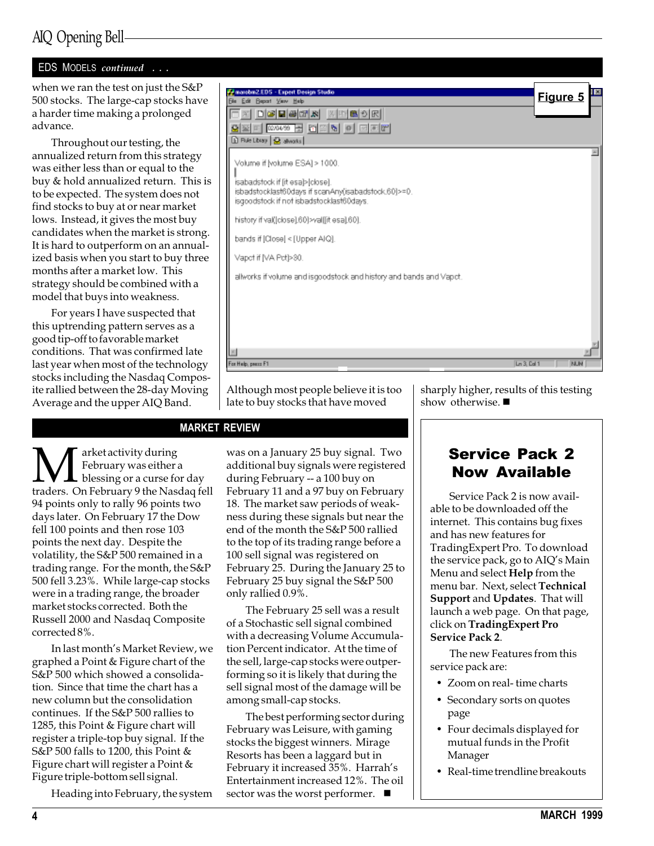## AIQ Opening Bell

#### EDS MODELS continued . . .

when we ran the test on just the S&P 500 stocks. The large-cap stocks have a harder time making a prolonged advance.

Throughout our testing, the annualized return from this strategy was either less than or equal to the buy & hold annualized return. This is to be expected. The system does not find stocks to buy at or near market lows. Instead, it gives the most buy candidates when the market is strong. It is hard to outperform on an annualized basis when you start to buy three months after a market low. This strategy should be combined with a model that buys into weakness.

For years I have suspected that this uptrending pattern serves as a good tip-off to favorable market conditions. That was confirmed late last year when most of the technology stocks including the Nasdaq Composite rallied between the 28-day Moving Average and the upper AIQ Band.



Although most people believe it is too late to buy stocks that have moved

#### MARKET REVIEW

**M** February was either<br>traders. On February 9 the Nas February was either a blessing or a curse for day traders. On February 9 the Nasdaq fell 94 points only to rally 96 points two days later. On February 17 the Dow fell 100 points and then rose 103 points the next day. Despite the volatility, the S&P 500 remained in a trading range. For the month, the S&P 500 fell 3.23%. While large-cap stocks were in a trading range, the broader market stocks corrected. Both the Russell 2000 and Nasdaq Composite corrected 8%.

In last month's Market Review, we graphed a Point & Figure chart of the S&P 500 which showed a consolidation. Since that time the chart has a new column but the consolidation continues. If the S&P 500 rallies to 1285, this Point & Figure chart will register a triple-top buy signal. If the S&P 500 falls to 1200, this Point & Figure chart will register a Point & Figure triple-bottom sell signal.

Heading into February, the system

was on a January 25 buy signal. Two additional buy signals were registered during February -- a 100 buy on February 11 and a 97 buy on February 18. The market saw periods of weakness during these signals but near the end of the month the S&P 500 rallied to the top of its trading range before a 100 sell signal was registered on February 25. During the January 25 to February 25 buy signal the S&P 500 only rallied 0.9%.

The February 25 sell was a result of a Stochastic sell signal combined with a decreasing Volume Accumulation Percent indicator. At the time of the sell, large-cap stocks were outperforming so it is likely that during the sell signal most of the damage will be among small-cap stocks.

The best performing sector during February was Leisure, with gaming stocks the biggest winners. Mirage Resorts has been a laggard but in February it increased 35%. Harrah's Entertainment increased 12%. The oil sector was the worst performer.  $\blacksquare$ 

sharply higher, results of this testing show otherwise.  $\blacksquare$ 

## Service Pack 2 Now Available

Service Pack 2 is now available to be downloaded off the internet. This contains bug fixes and has new features for TradingExpert Pro. To download the service pack, go to AIQ's Main Menu and select Help from the menu bar. Next, select Technical Support and Updates. That will launch a web page. On that page, click on TradingExpert Pro Service Pack 2.

The new Features from this service pack are:

- Zoom on real- time charts
- Secondary sorts on quotes page
- Four decimals displayed for mutual funds in the Profit Manager
- Real-time trendline breakouts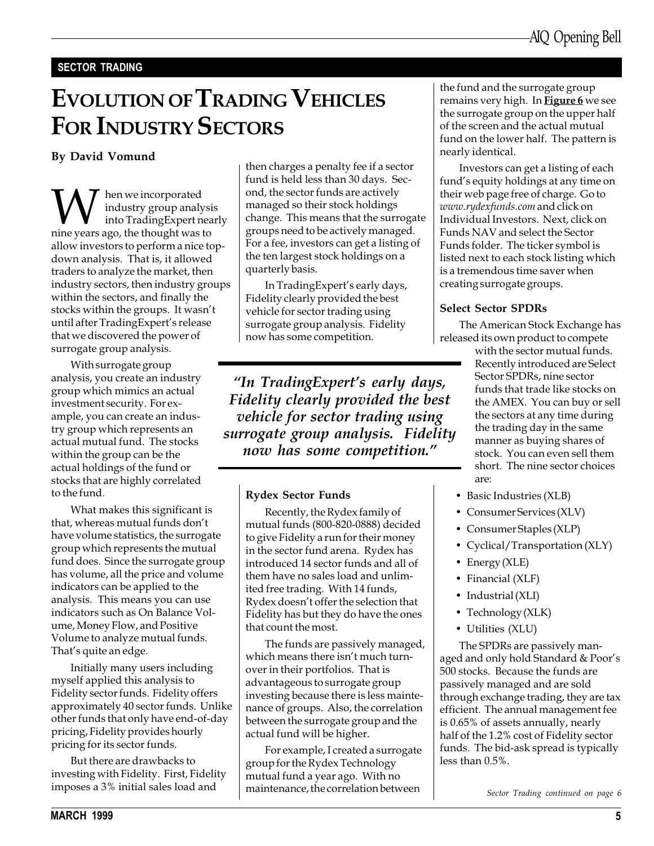#### SECTOR TRADING

# EVOLUTION OF TRADING VEHICLES FOR INDUSTRY SECTORS

When we incorporated nine years ago, the thought was to industry group analysis into TradingExpert nearly allow investors to perform a nice topdown analysis. That is, it allowed traders to analyze the market, then industry sectors, then industry groups within the sectors, and finally the stocks within the groups. It wasn't until after TradingExpert's release that we discovered the power of surrogate group analysis.

With surrogate group analysis, you create an industry group which mimics an actual investment security. For example, you can create an industry group which represents an actual mutual fund. The stocks within the group can be the actual holdings of the fund or stocks that are highly correlated to the fund.

What makes this significant is that, whereas mutual funds don't have volume statistics, the surrogate group which represents the mutual fund does. Since the surrogate group has volume, all the price and volume indicators can be applied to the analysis. This means you can use indicators such as On Balance Volume, Money Flow, and Positive Volume to analyze mutual funds. That's quite an edge.

Initially many users including myself applied this analysis to Fidelity sector funds. Fidelity offers approximately 40 sector funds. Unlike other funds that only have end-of-day pricing, Fidelity provides hourly pricing for its sector funds.

But there are drawbacks to investing with Fidelity. First, Fidelity imposes a 3% initial sales load and

By David Vomund  $\qquad \qquad \qquad$  then charges a penalty fee if a sector fund is held less than 30 days. Second, the sector funds are actively managed so their stock holdings change. This means that the surrogate groups need to be actively managed. For a fee, investors can get a listing of the ten largest stock holdings on a quarterly basis.

> In TradingExpert's early days, Fidelity clearly provided the best vehicle for sector trading using surrogate group analysis. Fidelity now has some competition.

"In TradingExpert's early days, Fidelity clearly provided the best vehicle for sector trading using surrogate group analysis. Fidelity now has some competition.

#### Rydex Sector Funds

Recently, the Rydex family of mutual funds (800-820-0888) decided to give Fidelity a run for their money in the sector fund arena. Rydex has introduced 14 sector funds and all of them have no sales load and unlimited free trading. With 14 funds, Rydex doesn't offer the selection that Fidelity has but they do have the ones that count the most.

The funds are passively managed, which means there isn't much turnover in their portfolios. That is advantageous to surrogate group investing because there is less maintenance of groups. Also, the correlation between the surrogate group and the actual fund will be higher.

For example, I created a surrogate group for the Rydex Technology mutual fund a year ago. With no maintenance, the correlation between

the fund and the surrogate group remains very high. In Figure 6 we see the surrogate group on the upper half of the screen and the actual mutual fund on the lower half. The pattern is nearly identical.

Investors can get a listing of each fund's equity holdings at any time on their web page free of charge. Go to www.rydexfunds.com and click on Individual Investors. Next, click on Funds NAV and select the Sector Funds folder. The ticker symbol is listed next to each stock listing which is a tremendous time saver when creating surrogate groups.

#### Select Sector SPDRs

The American Stock Exchange has released its own product to compete

> with the sector mutual funds. Recently introduced are Select Sector SPDRs, nine sector funds that trade like stocks on the AMEX. You can buy or sell the sectors at any time during the trading day in the same manner as buying shares of stock. You can even sell them short. The nine sector choices are:

- Basic Industries (XLB)
- Consumer Services (XLV)
- Consumer Staples (XLP)
- Cyclical/Transportation (XLY)
- Energy (XLE)
- Financial (XLF)
- Industrial (XLI)
- Technology (XLK)
- Utilities (XLU)

The SPDRs are passively managed and only hold Standard & Poor's 500 stocks. Because the funds are passively managed and are sold through exchange trading, they are tax efficient. The annual management fee is 0.65% of assets annually, nearly half of the 1.2% cost of Fidelity sector funds. The bid-ask spread is typically less than 0.5%.

Sector Trading continued on page 6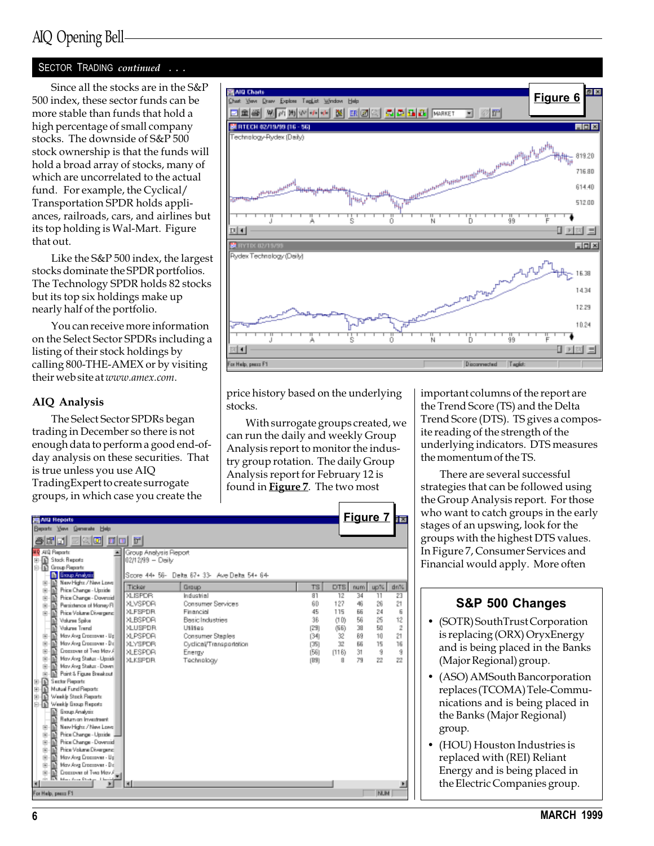#### SECTOR TRADING continued . . .

Since all the stocks are in the S&P 500 index, these sector funds can be more stable than funds that hold a high percentage of small company stocks. The downside of S&P 500 stock ownership is that the funds will hold a broad array of stocks, many of which are uncorrelated to the actual fund. For example, the Cyclical/ Transportation SPDR holds appliances, railroads, cars, and airlines but its top holding is Wal-Mart. Figure that out.

Like the S&P 500 index, the largest stocks dominate the SPDR portfolios. The Technology SPDR holds 82 stocks but its top six holdings make up nearly half of the portfolio.

You can receive more information on the Select Sector SPDRs including a listing of their stock holdings by calling 800-THE-AMEX or by visiting their web site at www.amex.com.

#### AIQ Analysis

The Select Sector SPDRs began trading in December so there is not enough data to perform a good end-ofday analysis on these securities. That is true unless you use AIQ TradingExpert to create surrogate groups, in which case you create the



price history based on the underlying stocks.

With surrogate groups created, we can run the daily and weekly Group Analysis report to monitor the industry group rotation. The daily Group Analysis report for February 12 is found in Figure 7. The two most

important columns of the report are the Trend Score (TS) and the Delta Trend Score (DTS). TS gives a composite reading of the strength of the underlying indicators. DTS measures the momentum of the TS.

There are several successful strategies that can be followed using the Group Analysis report. For those who want to catch groups in the early stages of an upswing, look for the groups with the highest DTS values. In Figure 7, Consumer Services and Financial would apply. More often

#### S&P 500 Changes

- (SOTR) SouthTrust Corporation is replacing (ORX) OryxEnergy and is being placed in the Banks (Major Regional) group.
- (ASO) AMSouth Bancorporation replaces (TCOMA) Tele-Communications and is being placed in the Banks (Major Regional) group.
- (HOU) Houston Industries is replaced with (REI) Reliant Energy and is being placed in the Electric Companies group.

| <b>AIG Reports</b>                                    |                        |                                               |           | <b>Figure 7</b> | <b>ELE</b>           |
|-------------------------------------------------------|------------------------|-----------------------------------------------|-----------|-----------------|----------------------|
| Bepatz Vew Generate Help                              |                        |                                               |           |                 |                      |
| 医欧固 可回 码<br>80a                                       |                        |                                               |           |                 |                      |
| <b>MP AID Reports</b>                                 | Group Analysis Pleport |                                               |           |                 |                      |
| <b>The Stack Reports</b><br>曲                         | 02/12/99 - Deily       |                                               |           |                 |                      |
| <b>Th</b> Group Reports                               |                        |                                               |           |                 |                      |
| <b>In Executives</b>                                  |                        | Spore 44+ 56- Delta 67+ 33- Ave Delta 54+ 64- |           |                 |                      |
| New Highs / New Lowell<br>由                           | Ticker                 | Group                                         | <b>TS</b> | DTS<br>num      | up%.<br>dn%          |
| Price Change - Upside<br>由                            | <b>XLISPDR</b>         | Industrial                                    | 81        | 12<br>34        | 11<br>23             |
| Price Change - Dovessid<br>由                          | <b>XLVSPDR</b>         | <b>Consumer Services</b>                      | 60        | 127<br>46       | 26<br>21             |
| Perzistence of Money FI<br>宙                          | <b>XLFSPDR</b>         | Financial                                     | 45        | 115<br>66       | 24<br>6              |
| Price Volume Diverpend<br>南                           |                        |                                               | 36        |                 |                      |
| Valures Spike                                         | XLBSPDR                | <b>Basic Industries</b>                       |           | 56<br>(10)      | 25<br>12             |
| <b>Volume Trend</b>                                   | <b>XLUSPDR</b>         | Utilias                                       | [29]      | 38<br>(66)      | 50<br>$\overline{2}$ |
| May Aya Crossover - Up<br>田                           | XLPSPDA                | Consumer Staples                              | (34)      | 32<br>89        | 21<br>10             |
| May Avg Enserswer - De<br>由                           | <b>XLYSPDR</b>         | Cyclical/Transportation                       | (35)      | 32<br>56        | 15<br>16             |
| Ensesswer of Twa May A<br>宙                           | <b>XLESPOR</b>         | Energy                                        | (56)      | 31<br>(116)     | 9<br>9               |
| May Avg Status - Upside<br>宙                          | <b>XLKSPDR</b>         | Technology                                    | (B9)      | 79<br>8         | 22<br>22             |
| May Ayg Status - Down<br>由                            |                        |                                               |           |                 |                      |
| Point & Figure Breakout<br>宙<br><b>Sector Reports</b> |                        |                                               |           |                 |                      |
| m<br>Mutual Fund Reports                              |                        |                                               |           |                 |                      |
| m<br>田<br>Ð<br>Weekly Stock Reports                   |                        |                                               |           |                 |                      |
| 田<br>俑<br>Weekly Exags Reports                        |                        |                                               |           |                 |                      |
| Eissus Analysis                                       |                        |                                               |           |                 |                      |
| <b>Beturn on Investment</b>                           |                        |                                               |           |                 |                      |
| New Highs / New Lowel<br>宙                            |                        |                                               |           |                 |                      |
| Price Change - Ugnide<br>宙                            |                        |                                               |           |                 |                      |
| Price Change - Dovessid<br>宙                          |                        |                                               |           |                 |                      |
| Price Volume Diverpend<br>宙                           |                        |                                               |           |                 |                      |
| May Avg Dresswer - Up<br>由                            |                        |                                               |           |                 |                      |
| May Avg Dresswer - De<br>宙                            |                        |                                               |           |                 |                      |
| Ensexswer of Twa May A.<br>围                          |                        |                                               |           |                 |                      |
| EX<br>Marchan Protect Links<br>rin.                   |                        |                                               |           |                 |                      |
|                                                       |                        |                                               |           |                 |                      |
| For Help, peace F1                                    |                        |                                               |           |                 | <b>NUM</b>           |
|                                                       |                        |                                               |           |                 |                      |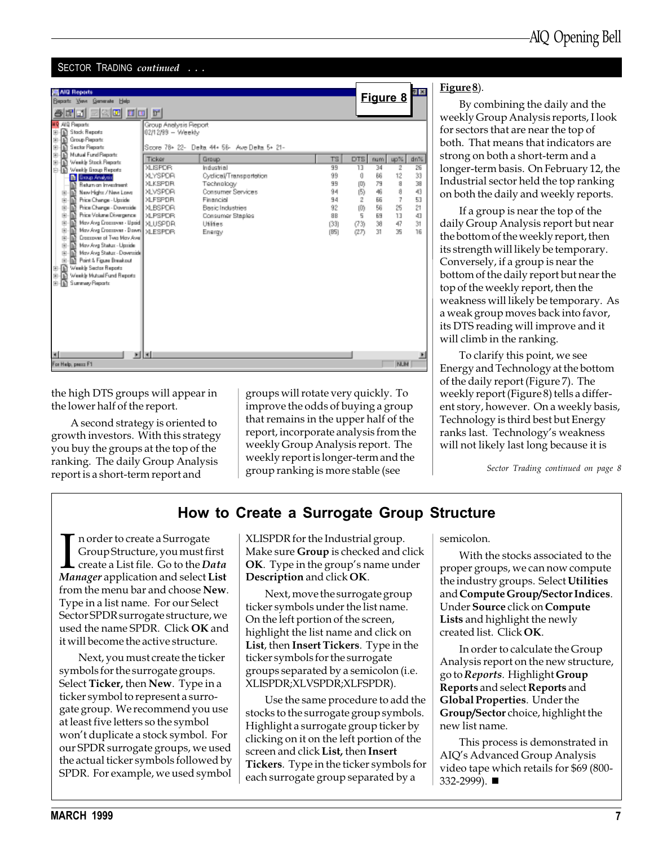#### SECTOR TRADING *continued* ...

| <b>M</b> AID Reports<br>Bepatz Yove Generate Help<br>200 0 0 1<br>해리                                                                                                                                                                                                                                                                                                                                                                                                                                                                                                                                                                                                                                                                                                                         |                                                                                                                                                                                                                             |                                                                                                                                                                                                                    |                                                                           |                                                                                                                                      | Figure 8                                              |                                                           |
|----------------------------------------------------------------------------------------------------------------------------------------------------------------------------------------------------------------------------------------------------------------------------------------------------------------------------------------------------------------------------------------------------------------------------------------------------------------------------------------------------------------------------------------------------------------------------------------------------------------------------------------------------------------------------------------------------------------------------------------------------------------------------------------------|-----------------------------------------------------------------------------------------------------------------------------------------------------------------------------------------------------------------------------|--------------------------------------------------------------------------------------------------------------------------------------------------------------------------------------------------------------------|---------------------------------------------------------------------------|--------------------------------------------------------------------------------------------------------------------------------------|-------------------------------------------------------|-----------------------------------------------------------|
| MO AIQ Reports<br>B-R Stock Re<br>Stack Reports<br>曲<br>Group Reports<br>由<br>围<br><b>Sector Reports</b><br>Mutual Fund Reports<br>由<br>г<br>Weekly Stock Reports<br>曲<br>к<br>Weekly Exoup Reports<br>⊨∎<br><b>In Group Analysis</b><br>Return on Investment<br>New Highs / New Lower<br>m<br>田<br>m<br>Price Change - Upside<br>宙<br>Price Change - Doverside<br>m<br>宙<br>Price Volume Divergence<br>R<br>由<br>m<br>May Avg Dressover - Upsid   XLUSPDR<br>宙<br>May Aya Crossover - Down  <br>宙<br>m<br>m<br>Ensexaves of Two May Ayes<br>由<br>May Ayış Status - Upside<br>m<br>宙<br>May Avig Status - Downside<br>宙<br>Point & Figure Breakout<br>宙<br>佰<br>Weekly Sector Reports<br>田<br>Weekly Mutual Fund Reports<br>R<br>曲<br>Summary Reports<br>由順<br>$\vert \mathbf{r} \vert$<br>ь | Group Analysis Report<br>02/12/99 - Weekly<br>Ticker<br><b>XLISPDR</b><br><b>XLYSPDR</b><br><b>XLKSPDR</b><br><b>XLVSPDR</b><br><b>XLFSPDR</b><br><b>XLBSPDR</b><br><b>XLPSPDR</b><br><b>MLESPDR</b><br>$\vert \cdot \vert$ | Score 78+ 22- Delta 44+ 58- Ave Delta 5+ 21-<br>Group<br>Industrial<br>Cyclical/Transportation<br>Technology<br>Consumer Services<br>Financial<br><b>Basic Industries</b><br>Consumer Staples<br>Utilies<br>Energy | TS<br>99<br>99<br>99<br>94<br>94<br>92<br><b>SB</b><br>(33)<br>[ <b>B</b> | DTS<br>num  <br>13<br>34<br>86<br>Ű<br>79<br>$ D\rangle$<br>(5)<br>46<br>2<br>66<br>(0)<br>56<br>5<br>69<br>38<br>(73)<br>31<br>(27) | up%<br>2<br>12<br>a<br>a<br>7<br>25<br>13<br>47<br>35 | dn%<br>26<br>33<br>38<br>43<br>53<br>21<br>43<br>31<br>16 |
| For Help, peace F1                                                                                                                                                                                                                                                                                                                                                                                                                                                                                                                                                                                                                                                                                                                                                                           |                                                                                                                                                                                                                             |                                                                                                                                                                                                                    |                                                                           |                                                                                                                                      | <b>NUM</b>                                            |                                                           |

the high DTS groups will appear in the lower half of the report.

A second strategy is oriented to growth investors. With this strategy you buy the groups at the top of the ranking. The daily Group Analysis report is a short-term report and

groups will rotate very quickly. To improve the odds of buying a group that remains in the upper half of the report, incorporate analysis from the weekly Group Analysis report. The weekly report is longer-term and the group ranking is more stable (see

#### Figure 8).

By combining the daily and the weekly Group Analysis reports, I look for sectors that are near the top of both. That means that indicators are strong on both a short-term and a longer-term basis. On February 12, the Industrial sector held the top ranking on both the daily and weekly reports.

If a group is near the top of the daily Group Analysis report but near the bottom of the weekly report, then its strength will likely be temporary. Conversely, if a group is near the bottom of the daily report but near the top of the weekly report, then the weakness will likely be temporary. As a weak group moves back into favor, its DTS reading will improve and it will climb in the ranking.

To clarify this point, we see Energy and Technology at the bottom of the daily report (Figure 7). The weekly report (Figure 8) tells a different story, however. On a weekly basis, Technology is third best but Energy ranks last. Technology's weakness will not likely last long because it is

Sector Trading continued on page 8

#### How to Create a Surrogate Group Structure

In order to create a Surrogate<br>Group Structure, you must first<br>create a List file. Go to the *Data*<br>Manager application and select List n order to create a Surrogate Group Structure, you must first create a List file. Go to the Data from the menu bar and choose New. Type in a list name. For our Select Sector SPDR surrogate structure, we used the name SPDR. Click OK and it will become the active structure.

Next, you must create the ticker symbols for the surrogate groups. Select **Ticker,** then **New**. Type in a ticker symbol to represent a surrogate group. We recommend you use at least five letters so the symbol won't duplicate a stock symbol. For our SPDR surrogate groups, we used the actual ticker symbols followed by SPDR. For example, we used symbol XLISPDR for the Industrial group. Make sure **Group** is checked and click  $OK.$  Type in the group's name under Description and click OK.

Next, move the surrogate group ticker symbols under the list name. On the left portion of the screen, highlight the list name and click on List, then Insert Tickers. Type in the ticker symbols for the surrogate groups separated by a semicolon (i.e. XLISPDR;XLVSPDR;XLFSPDR).

Use the same procedure to add the stocks to the surrogate group symbols. Highlight a surrogate group ticker by clicking on it on the left portion of the screen and click List, then Insert Tickers. Type in the ticker symbols for each surrogate group separated by a

semicolon.

With the stocks associated to the proper groups, we can now compute the industry groups. Select Utilities and Compute Group/Sector Indices. Under Source click on Compute Lists and highlight the newly created list. Click OK.

In order to calculate the Group Analysis report on the new structure, go to Reports. Highlight Group Reports and select Reports and Global Properties. Under the Group/Sector choice, highlight the new list name.

This process is demonstrated in AIO's Advanced Group Analysis video tape which retails for \$69 (800-  $332 - 2999$ ).